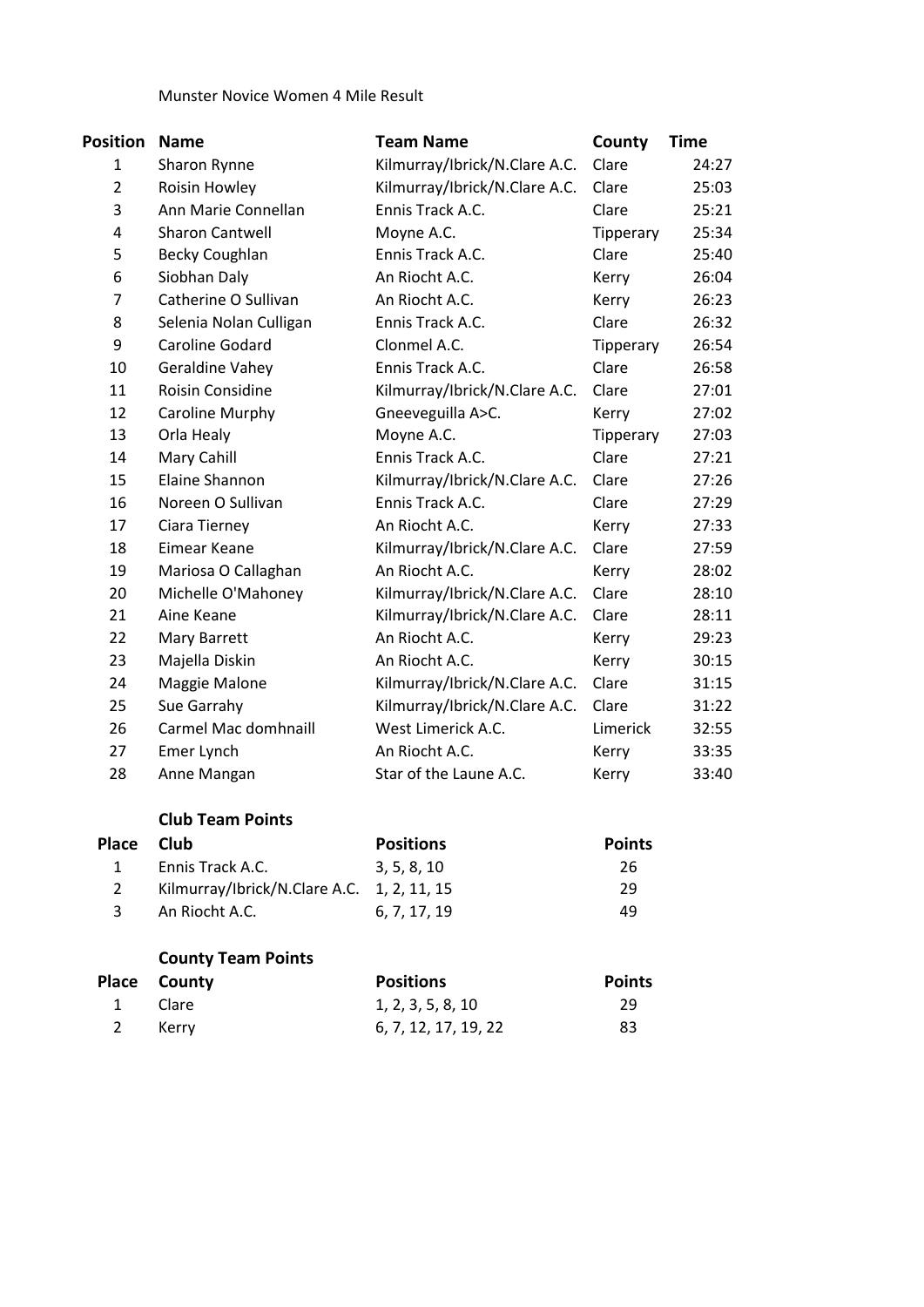### Munster Novice Women 4 Mile Result

| Position       | <b>Name</b>            | <b>Team Name</b>              | County    | Time  |
|----------------|------------------------|-------------------------------|-----------|-------|
| 1              | Sharon Rynne           | Kilmurray/Ibrick/N.Clare A.C. | Clare     | 24:27 |
| $\overline{2}$ | Roisin Howley          | Kilmurray/Ibrick/N.Clare A.C. | Clare     | 25:03 |
| 3              | Ann Marie Connellan    | Ennis Track A.C.              | Clare     | 25:21 |
| 4              | <b>Sharon Cantwell</b> | Moyne A.C.                    | Tipperary | 25:34 |
| 5              | <b>Becky Coughlan</b>  | Ennis Track A.C.              | Clare     | 25:40 |
| 6              | Siobhan Daly           | An Riocht A.C.                | Kerry     | 26:04 |
| $\overline{7}$ | Catherine O Sullivan   | An Riocht A.C.                | Kerry     | 26:23 |
| 8              | Selenia Nolan Culligan | Ennis Track A.C.              | Clare     | 26:32 |
| 9              | Caroline Godard        | Clonmel A.C.                  | Tipperary | 26:54 |
| 10             | Geraldine Vahey        | Ennis Track A.C.              | Clare     | 26:58 |
| 11             | Roisin Considine       | Kilmurray/Ibrick/N.Clare A.C. | Clare     | 27:01 |
| 12             | Caroline Murphy        | Gneeveguilla A>C.             | Kerry     | 27:02 |
| 13             | Orla Healy             | Moyne A.C.                    | Tipperary | 27:03 |
| 14             | Mary Cahill            | Ennis Track A.C.              | Clare     | 27:21 |
| 15             | Elaine Shannon         | Kilmurray/Ibrick/N.Clare A.C. | Clare     | 27:26 |
| 16             | Noreen O Sullivan      | Ennis Track A.C.              | Clare     | 27:29 |
| 17             | Ciara Tierney          | An Riocht A.C.                | Kerry     | 27:33 |
| 18             | Eimear Keane           | Kilmurray/Ibrick/N.Clare A.C. | Clare     | 27:59 |
| 19             | Mariosa O Callaghan    | An Riocht A.C.                | Kerry     | 28:02 |
| 20             | Michelle O'Mahoney     | Kilmurray/Ibrick/N.Clare A.C. | Clare     | 28:10 |
| 21             | Aine Keane             | Kilmurray/Ibrick/N.Clare A.C. | Clare     | 28:11 |
| 22             | Mary Barrett           | An Riocht A.C.                | Kerry     | 29:23 |
| 23             | Majella Diskin         | An Riocht A.C.                | Kerry     | 30:15 |
| 24             | Maggie Malone          | Kilmurray/Ibrick/N.Clare A.C. | Clare     | 31:15 |
| 25             | Sue Garrahy            | Kilmurray/Ibrick/N.Clare A.C. | Clare     | 31:22 |
| 26             | Carmel Mac domhnaill   | West Limerick A.C.            | Limerick  | 32:55 |
| 27             | Emer Lynch             | An Riocht A.C.                | Kerry     | 33:35 |
| 28             | Anne Mangan            | Star of the Laune A.C.        | Kerry     | 33:40 |

## **Club Team Points**

| Place Club |                                            | <b>Positions</b> | <b>Points</b> |
|------------|--------------------------------------------|------------------|---------------|
|            | Ennis Track A.C.                           | 3.5.8.10         | 26            |
|            | Kilmurray/Ibrick/N.Clare A.C. 1, 2, 11, 15 |                  | 29            |
| -3         | An Riocht A.C.                             | 6. 7. 17. 19     | 49            |

# **County Team Points**

|              | Place County | <b>Positions</b>     | <b>Points</b> |
|--------------|--------------|----------------------|---------------|
| $\mathbf{1}$ | Clare        | 1, 2, 3, 5, 8, 10    | 29            |
|              | 2 Kerrv      | 6, 7, 12, 17, 19, 22 | 83            |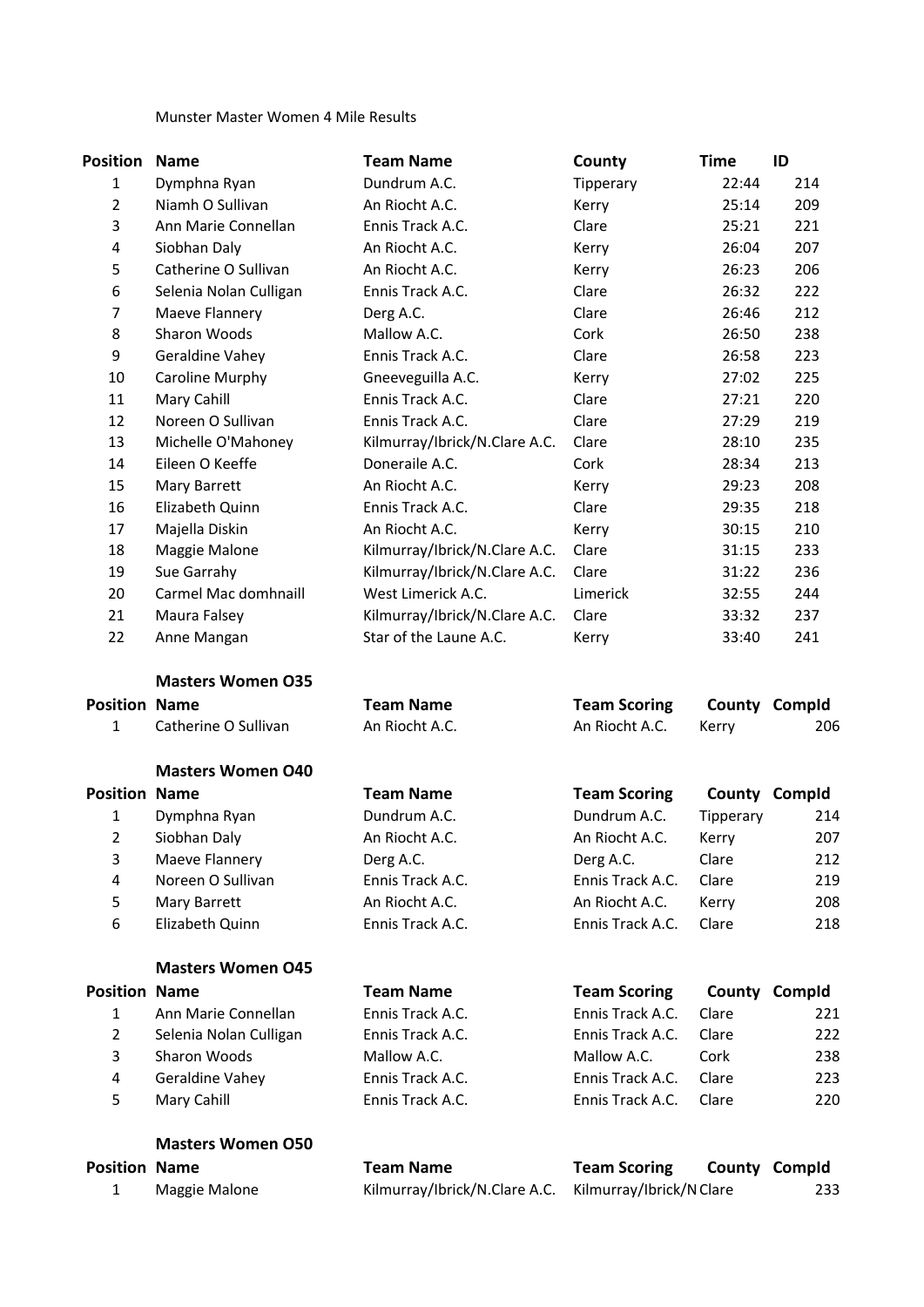### Munster Master Women 4 Mile Results

| <b>Position</b>      | <b>Name</b>              | <b>Team Name</b>              | County              | <b>Time</b> | ID            |
|----------------------|--------------------------|-------------------------------|---------------------|-------------|---------------|
| $\mathbf{1}$         | Dymphna Ryan             | Dundrum A.C.                  | Tipperary           | 22:44       | 214           |
| $\overline{2}$       | Niamh O Sullivan         | An Riocht A.C.                | Kerry               | 25:14       | 209           |
| 3                    | Ann Marie Connellan      | Ennis Track A.C.              | Clare               | 25:21       | 221           |
| 4                    | Siobhan Daly             | An Riocht A.C.                | Kerry               | 26:04       | 207           |
| 5                    | Catherine O Sullivan     | An Riocht A.C.                | Kerry               | 26:23       | 206           |
| 6                    | Selenia Nolan Culligan   | Ennis Track A.C.              | Clare               | 26:32       | 222           |
| 7                    | Maeve Flannery           | Derg A.C.                     | Clare               | 26:46       | 212           |
| 8                    | Sharon Woods             | Mallow A.C.                   | Cork                | 26:50       | 238           |
| 9                    | Geraldine Vahey          | Ennis Track A.C.              | Clare               | 26:58       | 223           |
| 10                   | Caroline Murphy          | Gneeveguilla A.C.             | Kerry               | 27:02       | 225           |
| 11                   | Mary Cahill              | Ennis Track A.C.              | Clare               | 27:21       | 220           |
| 12                   | Noreen O Sullivan        | Ennis Track A.C.              | Clare               | 27:29       | 219           |
| 13                   | Michelle O'Mahoney       | Kilmurray/Ibrick/N.Clare A.C. | Clare               | 28:10       | 235           |
| 14                   | Eileen O Keeffe          | Doneraile A.C.                | Cork                | 28:34       | 213           |
| 15                   | Mary Barrett             | An Riocht A.C.                | Kerry               | 29:23       | 208           |
| 16                   | Elizabeth Quinn          | Ennis Track A.C.              | Clare               | 29:35       | 218           |
| 17                   | Majella Diskin           | An Riocht A.C.                | Kerry               | 30:15       | 210           |
| 18                   | Maggie Malone            | Kilmurray/Ibrick/N.Clare A.C. | Clare               | 31:15       | 233           |
| 19                   | Sue Garrahy              | Kilmurray/Ibrick/N.Clare A.C. | Clare               | 31:22       | 236           |
| 20                   | Carmel Mac domhnaill     | West Limerick A.C.            | Limerick            | 32:55       | 244           |
| 21                   | Maura Falsey             | Kilmurray/Ibrick/N.Clare A.C. | Clare               | 33:32       | 237           |
| 22                   | Anne Mangan              | Star of the Laune A.C.        | Kerry               | 33:40       | 241           |
|                      | <b>Masters Women O35</b> |                               |                     |             |               |
| <b>Position Name</b> |                          | <b>Team Name</b>              | <b>Team Scoring</b> |             | County Compld |
| $\mathbf{1}$         | Catherine O Sullivan     | An Riocht A.C.                | An Riocht A.C.      | Kerry       | 206           |
|                      | <b>Masters Women O40</b> |                               |                     |             |               |
| <b>Position Name</b> |                          | <b>Team Name</b>              | <b>Team Scoring</b> |             | County Compld |
| 1                    | Dymphna Ryan             | Dundrum A.C.                  | Dundrum A.C.        | Tipperary   | 214           |
| $\overline{2}$       | Siobhan Daly             | An Riocht A.C.                | An Riocht A.C.      | Kerry       | 207           |
| 3                    | Maeve Flannery           | Derg A.C.                     | Derg A.C.           | Clare       | 212           |
| 4                    | Noreen O Sullivan        | Ennis Track A.C.              | Ennis Track A.C.    | Clare       | 219           |
| 5                    | Mary Barrett             | An Riocht A.C.                | An Riocht A.C.      | Kerry       | 208           |
| 6                    | Elizabeth Quinn          | Ennis Track A.C.              | Ennis Track A.C.    | Clare       | 218           |
|                      | <b>Masters Women O45</b> |                               |                     |             |               |
| <b>Position Name</b> |                          | <b>Team Name</b>              | <b>Team Scoring</b> |             | County Compld |
| $\mathbf{1}$         | Ann Marie Connellan      | Ennis Track A.C.              | Ennis Track A.C.    | Clare       | 221           |
| 2                    | Selenia Nolan Culligan   | Ennis Track A.C.              | Ennis Track A.C.    | Clare       | 222           |
| 3                    | Sharon Woods             | Mallow A.C.                   | Mallow A.C.         | Cork        | 238           |
| 4                    | Geraldine Vahey          | Ennis Track A.C.              | Ennis Track A.C.    | Clare       | 223           |
| 5                    | Mary Cahill              | Ennis Track A.C.              | Ennis Track A.C.    | Clare       | 220           |
|                      | <b>Masters Women O50</b> |                               |                     |             |               |
| <b>Position Name</b> |                          | <b>Team Name</b>              | <b>Team Scoring</b> |             | County Compld |

1 Maggie Malone Kilmurray/Ibrick/N.Clare A.C. Kilmurray/Ibrick/N Clare 233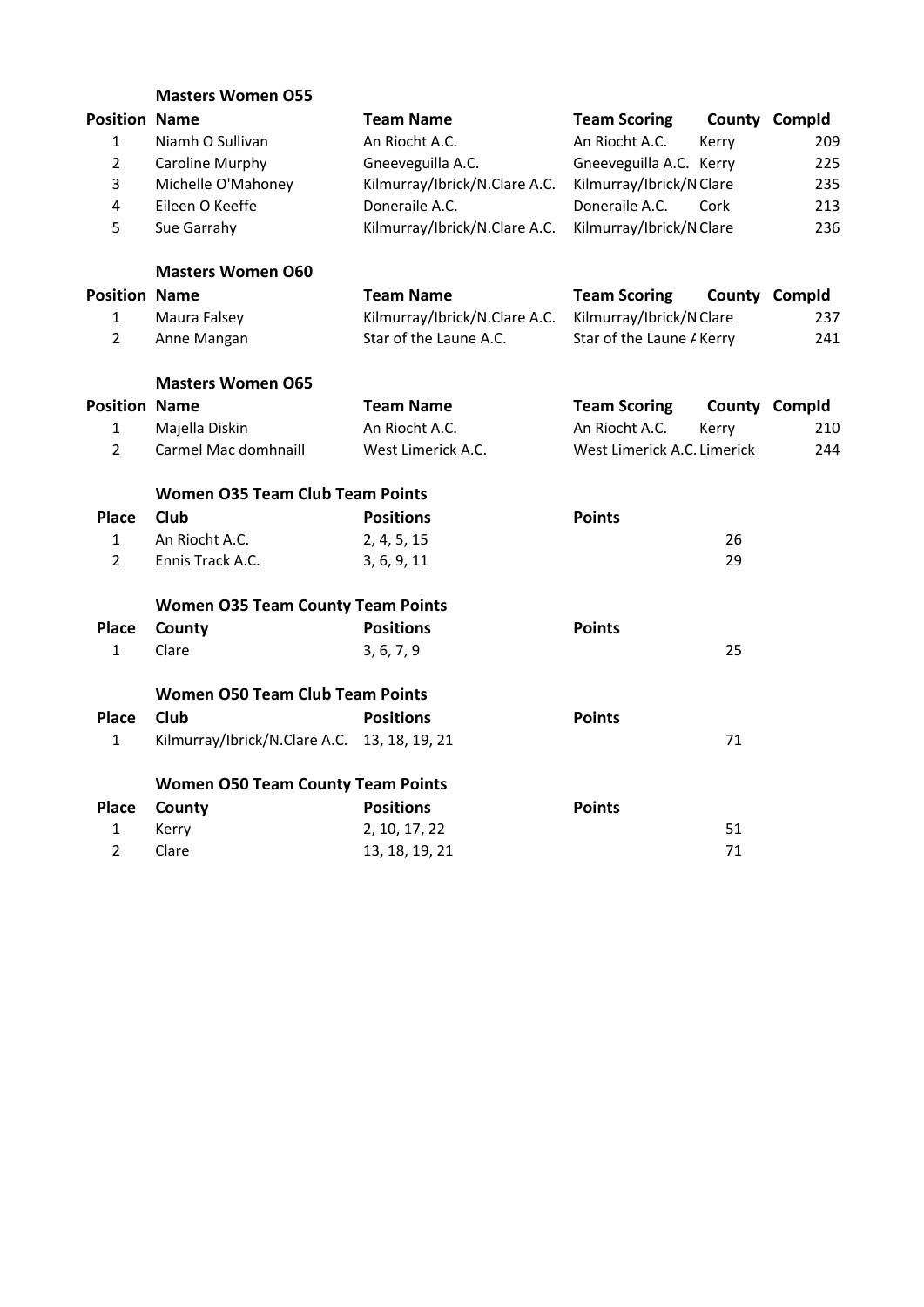|                      | <b>Masters Women O55</b>                     |                               |                             |       |               |
|----------------------|----------------------------------------------|-------------------------------|-----------------------------|-------|---------------|
| <b>Position Name</b> |                                              | <b>Team Name</b>              | <b>Team Scoring</b>         |       | County Compld |
| $\mathbf{1}$         | Niamh O Sullivan                             | An Riocht A.C.                | An Riocht A.C.              | Kerry | 209           |
| $\overline{2}$       | Caroline Murphy                              | Gneeveguilla A.C.             | Gneeveguilla A.C. Kerry     |       | 225           |
| 3                    | Michelle O'Mahoney                           | Kilmurray/Ibrick/N.Clare A.C. | Kilmurray/Ibrick/N Clare    |       | 235           |
| 4                    | Eileen O Keeffe                              | Doneraile A.C.                | Doneraile A.C.              | Cork  | 213           |
| 5                    | Sue Garrahy                                  | Kilmurray/Ibrick/N.Clare A.C. | Kilmurray/Ibrick/N Clare    |       | 236           |
|                      | <b>Masters Women O60</b>                     |                               |                             |       |               |
| <b>Position Name</b> |                                              | <b>Team Name</b>              | <b>Team Scoring</b>         |       | County Compld |
| $\mathbf{1}$         | Maura Falsey                                 | Kilmurray/Ibrick/N.Clare A.C. | Kilmurray/Ibrick/N Clare    |       | 237           |
| $\overline{2}$       | Anne Mangan                                  | Star of the Laune A.C.        | Star of the Laune A Kerry   |       | 241           |
|                      | <b>Masters Women O65</b>                     |                               |                             |       |               |
| <b>Position Name</b> |                                              | <b>Team Name</b>              | <b>Team Scoring</b>         |       | County Compld |
| $\mathbf{1}$         | Majella Diskin                               | An Riocht A.C.                | An Riocht A.C.              | Kerry | 210           |
| $\overline{2}$       | Carmel Mac domhnaill                         | West Limerick A.C.            | West Limerick A.C. Limerick |       | 244           |
|                      | <b>Women O35 Team Club Team Points</b>       |                               |                             |       |               |
| <b>Place</b>         | Club                                         | <b>Positions</b>              | <b>Points</b>               |       |               |
| $\mathbf{1}$         | An Riocht A.C.                               | 2, 4, 5, 15                   |                             | 26    |               |
| $\overline{2}$       | Ennis Track A.C.                             | 3, 6, 9, 11                   |                             | 29    |               |
|                      | <b>Women O35 Team County Team Points</b>     |                               |                             |       |               |
| <b>Place</b>         | County                                       | <b>Positions</b>              | <b>Points</b>               |       |               |
| $\mathbf{1}$         | Clare                                        | 3, 6, 7, 9                    |                             | 25    |               |
|                      | <b>Women O50 Team Club Team Points</b>       |                               |                             |       |               |
| <b>Place</b>         | Club                                         | <b>Positions</b>              | <b>Points</b>               |       |               |
| $\mathbf{1}$         | Kilmurray/Ibrick/N.Clare A.C. 13, 18, 19, 21 |                               |                             | 71    |               |
|                      | <b>Women O50 Team County Team Points</b>     |                               |                             |       |               |
| <b>Place</b>         | County                                       | <b>Positions</b>              | <b>Points</b>               |       |               |
| $\mathbf{1}$         | Kerry                                        | 2, 10, 17, 22                 |                             | 51    |               |
| $\overline{2}$       | Clare                                        | 13, 18, 19, 21                |                             | 71    |               |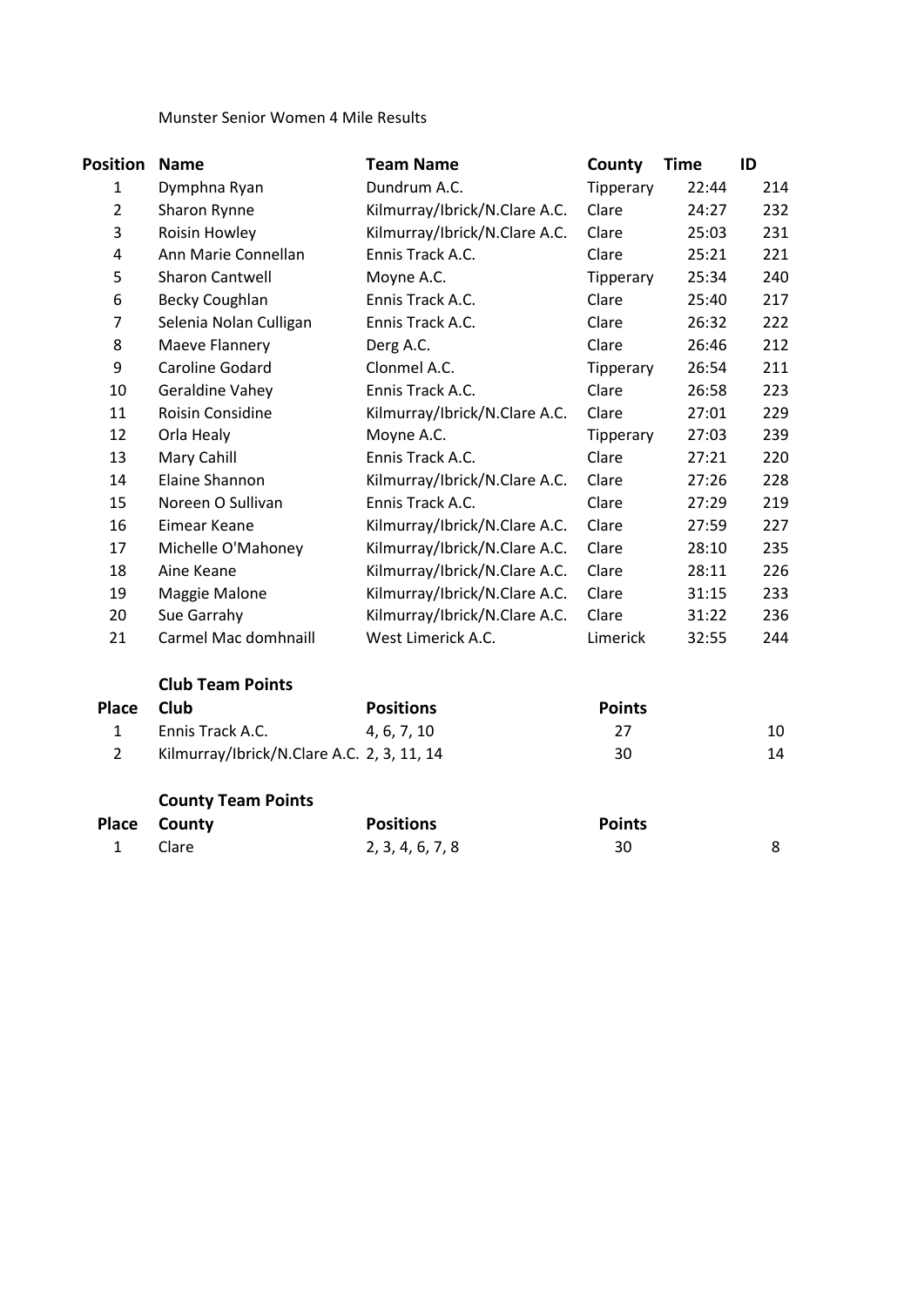#### Munster Senior Women 4 Mile Results

| Position       | <b>Name</b>                                | <b>Team Name</b>              | County        | <b>Time</b> | ID  |
|----------------|--------------------------------------------|-------------------------------|---------------|-------------|-----|
| $\mathbf{1}$   | Dymphna Ryan                               | Dundrum A.C.                  | Tipperary     | 22:44       | 214 |
| $\overline{2}$ | Sharon Rynne                               | Kilmurray/Ibrick/N.Clare A.C. | Clare         | 24:27       | 232 |
| 3              | Roisin Howley                              | Kilmurray/Ibrick/N.Clare A.C. | Clare         | 25:03       | 231 |
| 4              | Ann Marie Connellan                        | Ennis Track A.C.              | Clare         | 25:21       | 221 |
| 5              | <b>Sharon Cantwell</b>                     | Moyne A.C.                    | Tipperary     | 25:34       | 240 |
| 6              | <b>Becky Coughlan</b>                      | Ennis Track A.C.              | Clare         | 25:40       | 217 |
| $\overline{7}$ | Selenia Nolan Culligan                     | Ennis Track A.C.              | Clare         | 26:32       | 222 |
| 8              | Maeve Flannery                             | Derg A.C.                     | Clare         | 26:46       | 212 |
| 9              | Caroline Godard                            | Clonmel A.C.                  | Tipperary     | 26:54       | 211 |
| 10             | Geraldine Vahey                            | Ennis Track A.C.              | Clare         | 26:58       | 223 |
| 11             | Roisin Considine                           | Kilmurray/Ibrick/N.Clare A.C. | Clare         | 27:01       | 229 |
| 12             | Orla Healy                                 | Moyne A.C.                    | Tipperary     | 27:03       | 239 |
| 13             | Mary Cahill                                | Ennis Track A.C.              | Clare         | 27:21       | 220 |
| 14             | Elaine Shannon                             | Kilmurray/Ibrick/N.Clare A.C. | Clare         | 27:26       | 228 |
| 15             | Noreen O Sullivan                          | Ennis Track A.C.              | Clare         | 27:29       | 219 |
| 16             | Eimear Keane                               | Kilmurray/Ibrick/N.Clare A.C. | Clare         | 27:59       | 227 |
| 17             | Michelle O'Mahoney                         | Kilmurray/Ibrick/N.Clare A.C. | Clare         | 28:10       | 235 |
| 18             | Aine Keane                                 | Kilmurray/Ibrick/N.Clare A.C. | Clare         | 28:11       | 226 |
| 19             | Maggie Malone                              | Kilmurray/Ibrick/N.Clare A.C. | Clare         | 31:15       | 233 |
| 20             | Sue Garrahy                                | Kilmurray/Ibrick/N.Clare A.C. | Clare         | 31:22       | 236 |
| 21             | Carmel Mac domhnaill                       | West Limerick A.C.            | Limerick      | 32:55       | 244 |
|                | <b>Club Team Points</b>                    |                               |               |             |     |
| <b>Place</b>   | Club                                       | <b>Positions</b>              | <b>Points</b> |             |     |
| $\mathbf{1}$   | Ennis Track A.C.                           | 4, 6, 7, 10                   | 27            |             | 10  |
| $\overline{2}$ | Kilmurray/Ibrick/N.Clare A.C. 2, 3, 11, 14 |                               | 30            |             | 14  |
|                | <b>County Team Points</b>                  |                               |               |             |     |
| <b>Place</b>   | County                                     | <b>Positions</b>              | <b>Points</b> |             |     |
| $\mathbf{1}$   | Clare                                      | 2, 3, 4, 6, 7, 8              | 30            |             | 8   |
|                |                                            |                               |               |             |     |